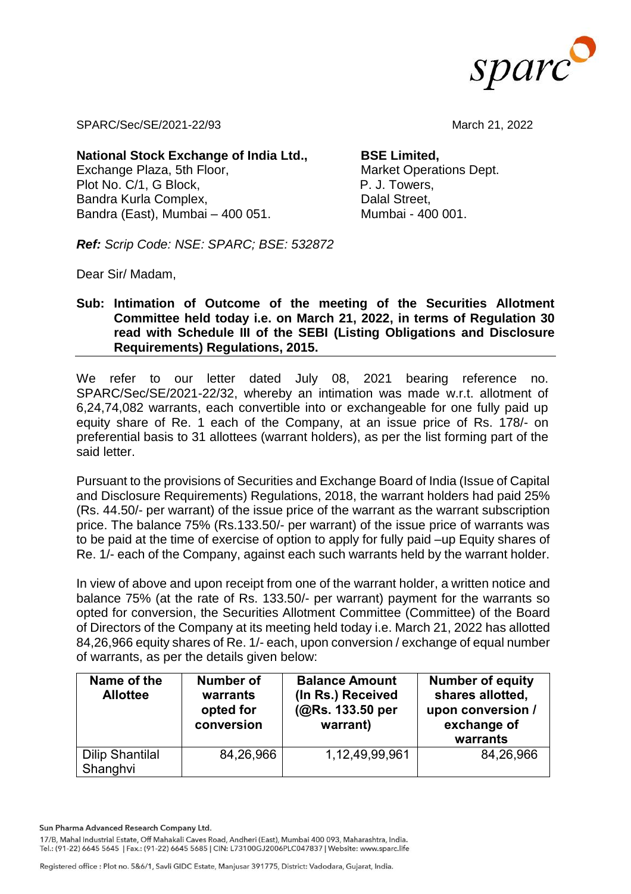

SPARC/Sec/SE/2021-22/93 March 21, 2022

**National Stock Exchange of India Ltd.,**  Exchange Plaza, 5th Floor, Plot No. C/1, G Block, Bandra Kurla Complex, Bandra (East), Mumbai – 400 051.

**BSE Limited,** 

Market Operations Dept. P. J. Towers, Dalal Street, Mumbai - 400 001.

*Ref: Scrip Code: NSE: SPARC; BSE: 532872*

Dear Sir/ Madam,

## **Sub: Intimation of Outcome of the meeting of the Securities Allotment Committee held today i.e. on March 21, 2022, in terms of Regulation 30 read with Schedule III of the SEBI (Listing Obligations and Disclosure Requirements) Regulations, 2015.**

We refer to our letter dated July 08, 2021 bearing reference no. SPARC/Sec/SE/2021-22/32, whereby an intimation was made w.r.t. allotment of 6,24,74,082 warrants, each convertible into or exchangeable for one fully paid up equity share of Re. 1 each of the Company, at an issue price of Rs. 178/- on preferential basis to 31 allottees (warrant holders), as per the list forming part of the said letter.

Pursuant to the provisions of Securities and Exchange Board of India (Issue of Capital and Disclosure Requirements) Regulations, 2018, the warrant holders had paid 25% (Rs. 44.50/- per warrant) of the issue price of the warrant as the warrant subscription price. The balance 75% (Rs.133.50/- per warrant) of the issue price of warrants was to be paid at the time of exercise of option to apply for fully paid –up Equity shares of Re. 1/- each of the Company, against each such warrants held by the warrant holder.

In view of above and upon receipt from one of the warrant holder, a written notice and balance 75% (at the rate of Rs. 133.50/- per warrant) payment for the warrants so opted for conversion, the Securities Allotment Committee (Committee) of the Board of Directors of the Company at its meeting held today i.e. March 21, 2022 has allotted 84,26,966 equity shares of Re. 1/- each, upon conversion / exchange of equal number of warrants, as per the details given below:

| Name of the<br><b>Allottee</b>     | <b>Number of</b><br>warrants<br>opted for<br>conversion | <b>Balance Amount</b><br>(In Rs.) Received<br>(@Rs. 133.50 per<br>warrant) | <b>Number of equity</b><br>shares allotted,<br>upon conversion /<br>exchange of<br>warrants |
|------------------------------------|---------------------------------------------------------|----------------------------------------------------------------------------|---------------------------------------------------------------------------------------------|
| <b>Dilip Shantilal</b><br>Shanghvi | 84,26,966                                               | 1,12,49,99,961                                                             | 84,26,966                                                                                   |

Sun Pharma Advanced Research Company Ltd.

17/B, Mahal Industrial Estate, Off Mahakali Caves Road, Andheri (East), Mumbai 400 093, Maharashtra, India. Tel.: (91-22) 6645 5645 | Fax.: (91-22) 6645 5685 | CIN: L73100GJ2006PLC047837 | Website: www.sparc.life